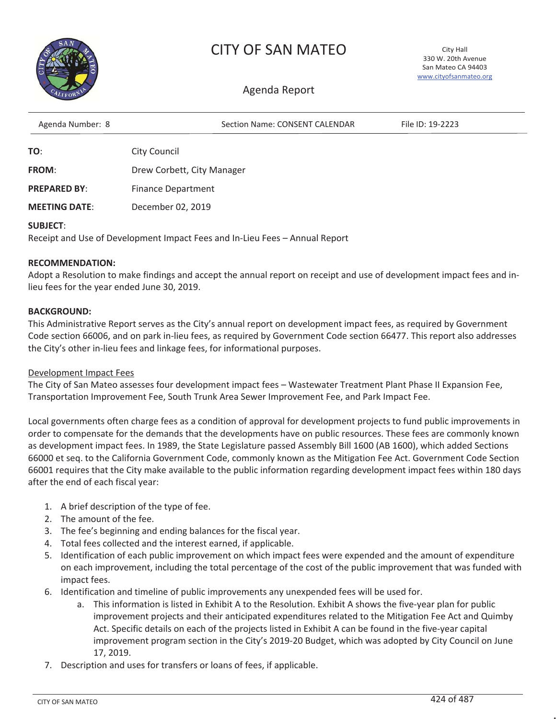

### CITY OF SAN MATEO

City Hall 330 W. 20th Avenue San Mateo CA 94403 www.cityofsanmateo.org

#### Agenda Report

| Agenda Number: 8    | Section Name: CONSENT CALENDAR | File ID: 19-2223 |  |
|---------------------|--------------------------------|------------------|--|
| TO:                 | <b>City Council</b>            |                  |  |
| <b>FROM:</b>        | Drew Corbett, City Manager     |                  |  |
| <b>PREPARED BY:</b> | Finance Department             |                  |  |

**MEETING DATE**: December 02, 2019

#### **SUBJECT**:

Receipt and Use of Development Impact Fees and In-Lieu Fees – Annual Report

#### **RECOMMENDATION:**

Adopt a Resolution to make findings and accept the annual report on receipt and use of development impact fees and inlieu fees for the year ended June 30, 2019.

#### **BACKGROUND:**

This Administrative Report serves as the City's annual report on development impact fees, as required by Government Code section 66006, and on park in-lieu fees, as required by Government Code section 66477. This report also addresses the City's other in-lieu fees and linkage fees, for informational purposes.

#### Development Impact Fees

The City of San Mateo assesses four development impact fees – Wastewater Treatment Plant Phase II Expansion Fee, Transportation Improvement Fee, South Trunk Area Sewer Improvement Fee, and Park Impact Fee.

Local governments often charge fees as a condition of approval for development projects to fund public improvements in order to compensate for the demands that the developments have on public resources. These fees are commonly known as development impact fees. In 1989, the State Legislature passed Assembly Bill 1600 (AB 1600), which added Sections 66000 et seq. to the California Government Code, commonly known as the Mitigation Fee Act. Government Code Section 66001 requires that the City make available to the public information regarding development impact fees within 180 days after the end of each fiscal year:

- 1. A brief description of the type of fee.
- 2. The amount of the fee.
- 3. The fee's beginning and ending balances for the fiscal year.
- 4. Total fees collected and the interest earned, if applicable.
- 5. Identification of each public improvement on which impact fees were expended and the amount of expenditure on each improvement, including the total percentage of the cost of the public improvement that was funded with impact fees.
- 6. Identification and timeline of public improvements any unexpended fees will be used for.
	- a. This information is listed in Exhibit A to the Resolution. Exhibit A shows the five-year plan for public improvement projects and their anticipated expenditures related to the Mitigation Fee Act and Quimby Act. Specific details on each of the projects listed in Exhibit A can be found in the five-year capital improvement program section in the City's 2019-20 Budget, which was adopted by City Council on June 17, 2019.
- 7. Description and uses for transfers or loans of fees, if applicable.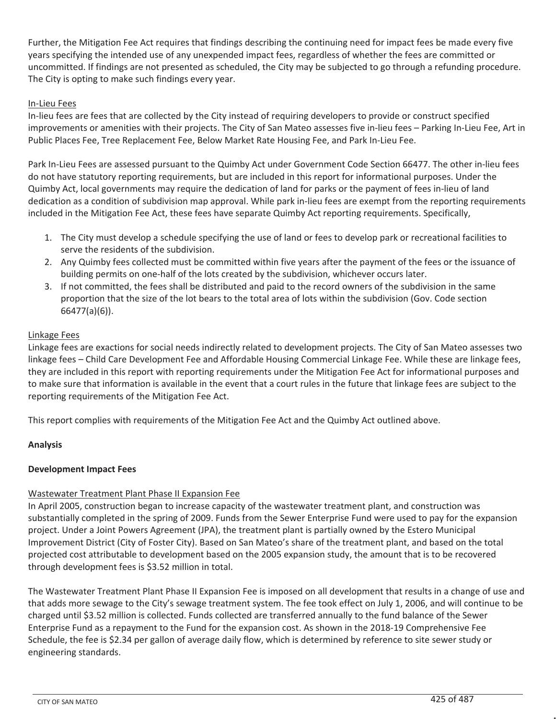Further, the Mitigation Fee Act requires that findings describing the continuing need for impact fees be made every five years specifying the intended use of any unexpended impact fees, regardless of whether the fees are committed or uncommitted. If findings are not presented as scheduled, the City may be subjected to go through a refunding procedure. The City is opting to make such findings every year.

#### In-Lieu Fees

In-lieu fees are fees that are collected by the City instead of requiring developers to provide or construct specified improvements or amenities with their projects. The City of San Mateo assesses five in-lieu fees – Parking In-Lieu Fee, Art in Public Places Fee, Tree Replacement Fee, Below Market Rate Housing Fee, and Park In-Lieu Fee.

Park In-Lieu Fees are assessed pursuant to the Quimby Act under Government Code Section 66477. The other in-lieu fees do not have statutory reporting requirements, but are included in this report for informational purposes. Under the Quimby Act, local governments may require the dedication of land for parks or the payment of fees in-lieu of land dedication as a condition of subdivision map approval. While park in-lieu fees are exempt from the reporting requirements included in the Mitigation Fee Act, these fees have separate Quimby Act reporting requirements. Specifically,

- 1. The City must develop a schedule specifying the use of land or fees to develop park or recreational facilities to serve the residents of the subdivision.
- 2. Any Quimby fees collected must be committed within five years after the payment of the fees or the issuance of building permits on one-half of the lots created by the subdivision, whichever occurs later.
- 3. If not committed, the fees shall be distributed and paid to the record owners of the subdivision in the same proportion that the size of the lot bears to the total area of lots within the subdivision (Gov. Code section 66477(a)(6)).

#### Linkage Fees

Linkage fees are exactions for social needs indirectly related to development projects. The City of San Mateo assesses two linkage fees – Child Care Development Fee and Affordable Housing Commercial Linkage Fee. While these are linkage fees, they are included in this report with reporting requirements under the Mitigation Fee Act for informational purposes and to make sure that information is available in the event that a court rules in the future that linkage fees are subject to the reporting requirements of the Mitigation Fee Act.

This report complies with requirements of the Mitigation Fee Act and the Quimby Act outlined above.

#### **Analysis**

#### **Development Impact Fees**

#### Wastewater Treatment Plant Phase II Expansion Fee

In April 2005, construction began to increase capacity of the wastewater treatment plant, and construction was substantially completed in the spring of 2009. Funds from the Sewer Enterprise Fund were used to pay for the expansion project. Under a Joint Powers Agreement (JPA), the treatment plant is partially owned by the Estero Municipal Improvement District (City of Foster City). Based on San Mateo's share of the treatment plant, and based on the total projected cost attributable to development based on the 2005 expansion study, the amount that is to be recovered through development fees is \$3.52 million in total.

The Wastewater Treatment Plant Phase II Expansion Fee is imposed on all development that results in a change of use and that adds more sewage to the City's sewage treatment system. The fee took effect on July 1, 2006, and will continue to be charged until \$3.52 million is collected. Funds collected are transferred annually to the fund balance of the Sewer Enterprise Fund as a repayment to the Fund for the expansion cost. As shown in the 2018-19 Comprehensive Fee Schedule, the fee is \$2.34 per gallon of average daily flow, which is determined by reference to site sewer study or engineering standards.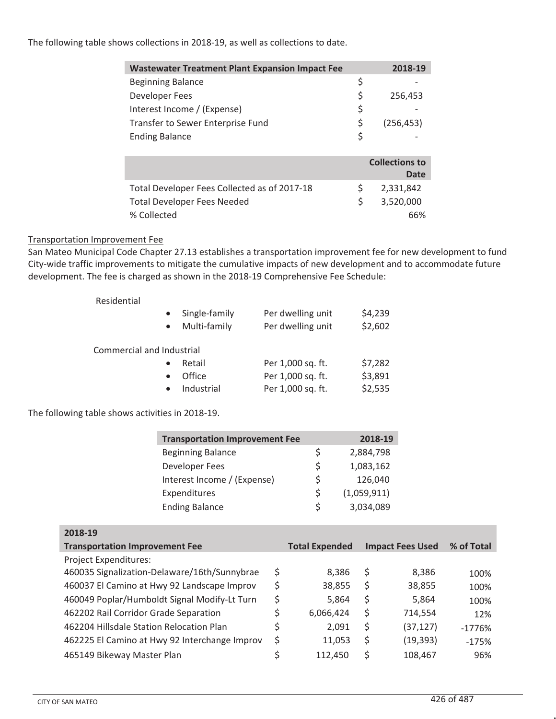#### The following table shows collections in 2018-19, as well as collections to date.

| <b>Wastewater Treatment Plant Expansion Impact Fee</b> | 2018-19               |
|--------------------------------------------------------|-----------------------|
| <b>Beginning Balance</b>                               | \$                    |
| Developer Fees                                         | \$<br>256,453         |
| Interest Income / (Expense)                            | \$                    |
| Transfer to Sewer Enterprise Fund                      | \$<br>(256, 453)      |
| <b>Ending Balance</b>                                  | \$                    |
|                                                        |                       |
|                                                        | <b>Collections to</b> |
|                                                        | Date                  |
| Total Developer Fees Collected as of 2017-18           | \$<br>2,331,842       |
| <b>Total Developer Fees Needed</b>                     | \$<br>3,520,000       |
| % Collected                                            | 66%                   |

#### Transportation Improvement Fee

San Mateo Municipal Code Chapter 27.13 establishes a transportation improvement fee for new development to fund City-wide traffic improvements to mitigate the cumulative impacts of new development and to accommodate future development. The fee is charged as shown in the 2018-19 Comprehensive Fee Schedule:

| Residential               |                                                         |                                        |                    |
|---------------------------|---------------------------------------------------------|----------------------------------------|--------------------|
|                           | Single-family<br>$\bullet$<br>Multi-family<br>$\bullet$ | Per dwelling unit<br>Per dwelling unit | \$4,239<br>\$2,602 |
| Commercial and Industrial |                                                         |                                        |                    |
|                           | Retail<br>$\bullet$                                     | Per 1,000 sq. ft.                      | \$7,282            |
|                           | Office<br>$\bullet$                                     | Per 1,000 sq. ft.                      | \$3,891            |
|                           | Industrial<br>$\bullet$                                 | Per 1,000 sq. ft.                      | \$2,535            |

The following table shows activities in 2018-19.

| <b>Transportation Improvement Fee</b> |   | 2018-19     |
|---------------------------------------|---|-------------|
| <b>Beginning Balance</b>              | Ś | 2,884,798   |
| Developer Fees                        | Ś | 1,083,162   |
| Interest Income / (Expense)           | ς | 126,040     |
| Expenditures                          | Ś | (1,059,911) |
| <b>Ending Balance</b>                 | Ś | 3,034,089   |

| 2018-19                                       |    |                       |    |                         |            |
|-----------------------------------------------|----|-----------------------|----|-------------------------|------------|
| <b>Transportation Improvement Fee</b>         |    | <b>Total Expended</b> |    | <b>Impact Fees Used</b> | % of Total |
| <b>Project Expenditures:</b>                  |    |                       |    |                         |            |
| 460035 Signalization-Delaware/16th/Sunnybrae  | \$ | 8,386                 | \$ | 8,386                   | 100%       |
| 460037 El Camino at Hwy 92 Landscape Improv   | S  | 38,855                | \$ | 38,855                  | 100%       |
| 460049 Poplar/Humboldt Signal Modify-Lt Turn  | \$ | 5,864                 | \$ | 5,864                   | 100%       |
| 462202 Rail Corridor Grade Separation         | Ś  | 6,066,424             | \$ | 714,554                 | 12%        |
| 462204 Hillsdale Station Relocation Plan      | Ś  | 2,091                 | \$ | (37, 127)               | $-1776%$   |
| 462225 El Camino at Hwy 92 Interchange Improv | \$ | 11,053                | \$ | (19, 393)               | $-175%$    |
| 465149 Bikeway Master Plan                    | ς  | 112,450               | Ś  | 108,467                 | 96%        |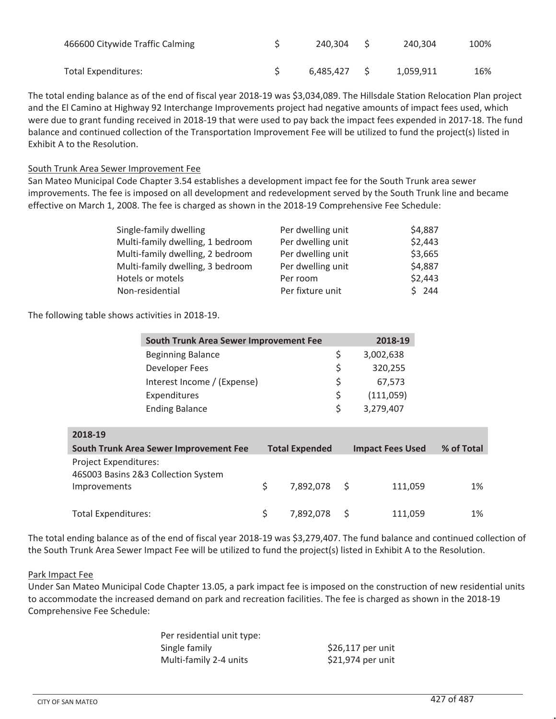| 466600 Citywide Traffic Calming | 240.304 S    | 240.304   | 100% |
|---------------------------------|--------------|-----------|------|
| Total Expenditures:             | 6.485.427 \$ | 1,059,911 | 16%  |

The total ending balance as of the end of fiscal year 2018-19 was \$3,034,089. The Hillsdale Station Relocation Plan project and the El Camino at Highway 92 Interchange Improvements project had negative amounts of impact fees used, which were due to grant funding received in 2018-19 that were used to pay back the impact fees expended in 2017-18. The fund balance and continued collection of the Transportation Improvement Fee will be utilized to fund the project(s) listed in Exhibit A to the Resolution.

#### South Trunk Area Sewer Improvement Fee

San Mateo Municipal Code Chapter 3.54 establishes a development impact fee for the South Trunk area sewer improvements. The fee is imposed on all development and redevelopment served by the South Trunk line and became effective on March 1, 2008. The fee is charged as shown in the 2018-19 Comprehensive Fee Schedule:

| Single-family dwelling           | Per dwelling unit | \$4,887 |
|----------------------------------|-------------------|---------|
| Multi-family dwelling, 1 bedroom | Per dwelling unit | \$2,443 |
| Multi-family dwelling, 2 bedroom | Per dwelling unit | \$3,665 |
| Multi-family dwelling, 3 bedroom | Per dwelling unit | \$4,887 |
| Hotels or motels                 | Per room          | \$2,443 |
| Non-residential                  | Per fixture unit  | \$244   |

The following table shows activities in 2018-19.

|                            | South Trunk Area Sewer Improvement Fee        |                       | 2018-19                 |            |
|----------------------------|-----------------------------------------------|-----------------------|-------------------------|------------|
|                            | <b>Beginning Balance</b>                      |                       | \$<br>3,002,638         |            |
|                            | Developer Fees                                |                       | \$<br>320,255           |            |
|                            | Interest Income / (Expense)                   |                       | \$<br>67,573            |            |
|                            | Expenditures                                  |                       | \$<br>(111,059)         |            |
|                            | <b>Ending Balance</b>                         |                       | \$<br>3,279,407         |            |
|                            |                                               |                       |                         |            |
| 2018-19                    |                                               |                       |                         |            |
|                            | <b>South Trunk Area Sewer Improvement Fee</b> | <b>Total Expended</b> | <b>Impact Fees Used</b> | % of Total |
| Project Expenditures:      | 46S003 Basins 2&3 Collection System           |                       |                         |            |
| Improvements               |                                               | \$<br>7,892,078 \$    | 111,059                 | 1%         |
| <b>Total Expenditures:</b> |                                               |                       |                         |            |

The total ending balance as of the end of fiscal year 2018-19 was \$3,279,407. The fund balance and continued collection of the South Trunk Area Sewer Impact Fee will be utilized to fund the project(s) listed in Exhibit A to the Resolution.

#### Park Impact Fee

Under San Mateo Municipal Code Chapter 13.05, a park impact fee is imposed on the construction of new residential units to accommodate the increased demand on park and recreation facilities. The fee is charged as shown in the 2018-19 Comprehensive Fee Schedule:

| Per residential unit type: |                   |
|----------------------------|-------------------|
| Single family              | \$26,117 per unit |
| Multi-family 2-4 units     | \$21,974 per unit |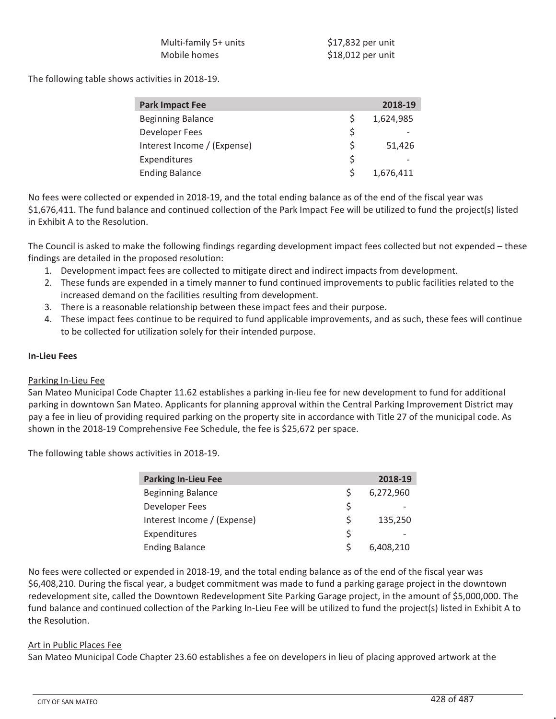| Multi-family 5+ units | \$17,832 per unit |
|-----------------------|-------------------|
| Mobile homes          | \$18,012 per unit |

The following table shows activities in 2018-19.

| <b>Park Impact Fee</b>      |    | 2018-19   |
|-----------------------------|----|-----------|
| <b>Beginning Balance</b>    |    | 1,624,985 |
| Developer Fees              | Ś  |           |
| Interest Income / (Expense) | Ś  | 51,426    |
| Expenditures                | \$ |           |
| <b>Ending Balance</b>       | S  | 1,676,411 |

No fees were collected or expended in 2018-19, and the total ending balance as of the end of the fiscal year was \$1,676,411. The fund balance and continued collection of the Park Impact Fee will be utilized to fund the project(s) listed in Exhibit A to the Resolution.

The Council is asked to make the following findings regarding development impact fees collected but not expended – these findings are detailed in the proposed resolution:

- 1. Development impact fees are collected to mitigate direct and indirect impacts from development.
- 2. These funds are expended in a timely manner to fund continued improvements to public facilities related to the increased demand on the facilities resulting from development.
- 3. There is a reasonable relationship between these impact fees and their purpose.
- 4. These impact fees continue to be required to fund applicable improvements, and as such, these fees will continue to be collected for utilization solely for their intended purpose.

#### **In-Lieu Fees**

#### Parking In-Lieu Fee

San Mateo Municipal Code Chapter 11.62 establishes a parking in-lieu fee for new development to fund for additional parking in downtown San Mateo. Applicants for planning approval within the Central Parking Improvement District may pay a fee in lieu of providing required parking on the property site in accordance with Title 27 of the municipal code. As shown in the 2018-19 Comprehensive Fee Schedule, the fee is \$25,672 per space.

The following table shows activities in 2018-19.

| <b>Parking In-Lieu Fee</b>  |    | 2018-19   |
|-----------------------------|----|-----------|
| <b>Beginning Balance</b>    | S  | 6,272,960 |
| Developer Fees              | Ś  |           |
| Interest Income / (Expense) | Ś. | 135,250   |
| Expenditures                | Ś  |           |
| <b>Ending Balance</b>       | S  | 6,408,210 |

No fees were collected or expended in 2018-19, and the total ending balance as of the end of the fiscal year was \$6,408,210. During the fiscal year, a budget commitment was made to fund a parking garage project in the downtown redevelopment site, called the Downtown Redevelopment Site Parking Garage project, in the amount of \$5,000,000. The fund balance and continued collection of the Parking In-Lieu Fee will be utilized to fund the project(s) listed in Exhibit A to the Resolution.

#### Art in Public Places Fee

San Mateo Municipal Code Chapter 23.60 establishes a fee on developers in lieu of placing approved artwork at the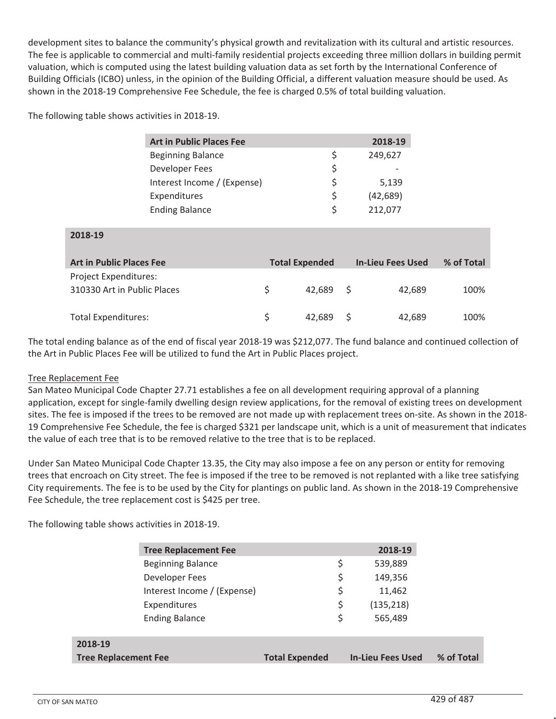development sites to balance the community's physical growth and revitalization with its cultural and artistic resources. The fee is applicable to commercial and multi-family residential projects exceeding three million dollars in building permit valuation, which is computed using the latest building valuation data as set forth by the International Conference of Building Officials (ICBO) unless, in the opinion of the Building Official, a different valuation measure should be used. As shown in the 2018-19 Comprehensive Fee Schedule, the fee is charged 0.5% of total building valuation.

The following table shows activities in 2018-19.

| <b>Art in Public Places Fee</b> |   | 2018-19   |
|---------------------------------|---|-----------|
| <b>Beginning Balance</b>        | S | 249,627   |
| Developer Fees                  | S |           |
| Interest Income / (Expense)     |   | 5,139     |
| Expenditures                    | S | (42, 689) |
| <b>Ending Balance</b>           | S | 212,077   |

| ZU10-19                                              |                       |                          |            |
|------------------------------------------------------|-----------------------|--------------------------|------------|
| <b>Art in Public Places Fee</b>                      | <b>Total Expended</b> | <b>In-Lieu Fees Used</b> | % of Total |
| Project Expenditures:<br>310330 Art in Public Places | 42.689 S              | 42.689                   | 100%       |
| <b>Total Expenditures:</b>                           | 42.689 S              | 42,689                   | 100%       |

The total ending balance as of the end of fiscal year 2018-19 was \$212,077. The fund balance and continued collection of the Art in Public Places Fee will be utilized to fund the Art in Public Places project.

#### Tree Replacement Fee

**2018-19**

San Mateo Municipal Code Chapter 27.71 establishes a fee on all development requiring approval of a planning application, except for single-family dwelling design review applications, for the removal of existing trees on development sites. The fee is imposed if the trees to be removed are not made up with replacement trees on-site. As shown in the 2018- 19 Comprehensive Fee Schedule, the fee is charged \$321 per landscape unit, which is a unit of measurement that indicates the value of each tree that is to be removed relative to the tree that is to be replaced.

Under San Mateo Municipal Code Chapter 13.35, the City may also impose a fee on any person or entity for removing trees that encroach on City street. The fee is imposed if the tree to be removed is not replanted with a like tree satisfying City requirements. The fee is to be used by the City for plantings on public land. As shown in the 2018-19 Comprehensive Fee Schedule, the tree replacement cost is \$425 per tree.

The following table shows activities in 2018-19.

|                             | <b>Tree Replacement Fee</b> |                       | 2018-19                  |
|-----------------------------|-----------------------------|-----------------------|--------------------------|
|                             | <b>Beginning Balance</b>    |                       | \$<br>539,889            |
|                             | Developer Fees              |                       | \$<br>149,356            |
|                             | Interest Income / (Expense) |                       | \$<br>11,462             |
|                             | Expenditures                |                       | \$<br>(135, 218)         |
|                             | <b>Ending Balance</b>       |                       | \$<br>565,489            |
|                             |                             |                       |                          |
| 2018-19                     |                             |                       |                          |
| <b>Tree Replacement Fee</b> |                             | <b>Total Expended</b> | <b>In-Lieu Fees Used</b> |
|                             |                             |                       |                          |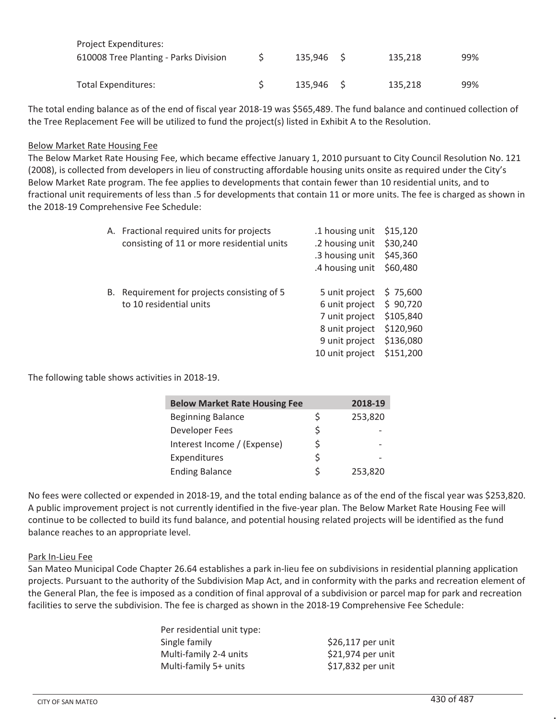| Project Expenditures:                 |           |         |     |
|---------------------------------------|-----------|---------|-----|
| 610008 Tree Planting - Parks Division | 135.946 S | 135.218 | 99% |
|                                       |           |         |     |
| Total Expenditures:                   | 135.946 S | 135.218 | 99% |

The total ending balance as of the end of fiscal year 2018-19 was \$565,489. The fund balance and continued collection of the Tree Replacement Fee will be utilized to fund the project(s) listed in Exhibit A to the Resolution.

#### Below Market Rate Housing Fee

The Below Market Rate Housing Fee, which became effective January 1, 2010 pursuant to City Council Resolution No. 121 (2008), is collected from developers in lieu of constructing affordable housing units onsite as required under the City's Below Market Rate program. The fee applies to developments that contain fewer than 10 residential units, and to fractional unit requirements of less than .5 for developments that contain 11 or more units. The fee is charged as shown in the 2018-19 Comprehensive Fee Schedule:

|    | A. Fractional required units for projects  | .1 housing unit | \$15,120  |
|----|--------------------------------------------|-----------------|-----------|
|    | consisting of 11 or more residential units | .2 housing unit | \$30,240  |
|    |                                            | .3 housing unit | \$45,360  |
|    |                                            | .4 housing unit | \$60,480  |
| В. | Requirement for projects consisting of 5   | 5 unit project  | \$75,600  |
|    | to 10 residential units                    | 6 unit project  | \$90,720  |
|    |                                            | 7 unit project  | \$105,840 |
|    |                                            | 8 unit project  | \$120,960 |
|    |                                            | 9 unit project  | \$136,080 |
|    |                                            | 10 unit project | \$151,200 |
|    |                                            |                 |           |

The following table shows activities in 2018-19.

| <b>Below Market Rate Housing Fee</b> |    | 2018-19 |
|--------------------------------------|----|---------|
| <b>Beginning Balance</b>             | Ś  | 253,820 |
| Developer Fees                       | \$ |         |
| Interest Income / (Expense)          | Ś  |         |
| Expenditures                         | \$ |         |
| <b>Ending Balance</b>                | Ś  | 253,820 |

No fees were collected or expended in 2018-19, and the total ending balance as of the end of the fiscal year was \$253,820. A public improvement project is not currently identified in the five-year plan. The Below Market Rate Housing Fee will continue to be collected to build its fund balance, and potential housing related projects will be identified as the fund balance reaches to an appropriate level.

#### Park In-Lieu Fee

San Mateo Municipal Code Chapter 26.64 establishes a park in-lieu fee on subdivisions in residential planning application projects. Pursuant to the authority of the Subdivision Map Act, and in conformity with the parks and recreation element of the General Plan, the fee is imposed as a condition of final approval of a subdivision or parcel map for park and recreation facilities to serve the subdivision. The fee is charged as shown in the 2018-19 Comprehensive Fee Schedule:

| \$26,117 per unit |
|-------------------|
| \$21,974 per unit |
| \$17,832 per unit |
|                   |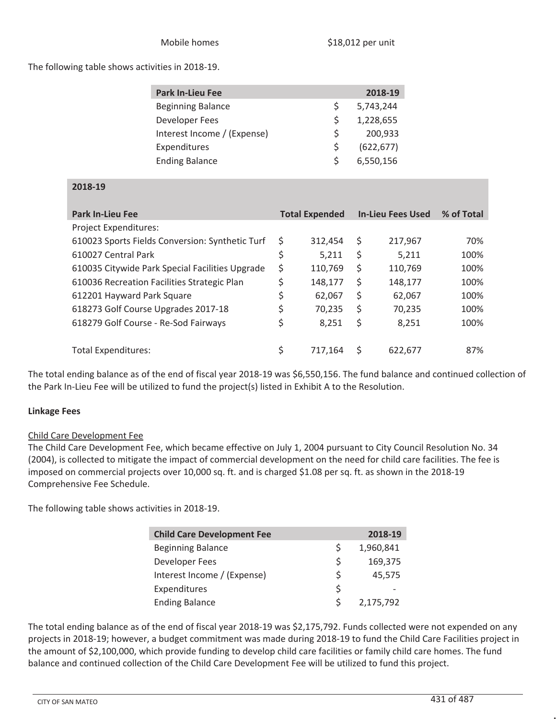#### The following table shows activities in 2018-19.

| <b>Park In-Lieu Fee</b>     |   | 2018-19    |
|-----------------------------|---|------------|
| <b>Beginning Balance</b>    | Ś | 5,743,244  |
| Developer Fees              | Ś | 1,228,655  |
| Interest Income / (Expense) | Ś | 200,933    |
| Expenditures                | Ś | (622, 677) |
| <b>Ending Balance</b>       | Ś | 6,550,156  |

#### **2018-19**

| <b>Park In-Lieu Fee</b>                         | <b>Total Expended</b> |    | <b>In-Lieu Fees Used</b> | % of Total |
|-------------------------------------------------|-----------------------|----|--------------------------|------------|
| <b>Project Expenditures:</b>                    |                       |    |                          |            |
| 610023 Sports Fields Conversion: Synthetic Turf | \$<br>312,454         | \$ | 217,967                  | 70%        |
| 610027 Central Park                             | \$<br>5,211           | \$ | 5,211                    | 100%       |
| 610035 Citywide Park Special Facilities Upgrade | \$<br>110,769         | \$ | 110,769                  | 100%       |
| 610036 Recreation Facilities Strategic Plan     | \$<br>148,177         | \$ | 148,177                  | 100%       |
| 612201 Hayward Park Square                      | \$<br>62,067          | \$ | 62,067                   | 100%       |
| 618273 Golf Course Upgrades 2017-18             | \$<br>70,235          | \$ | 70,235                   | 100%       |
| 618279 Golf Course - Re-Sod Fairways            | \$<br>8.251           | \$ | 8,251                    | 100%       |
|                                                 |                       |    |                          |            |
| Total Expenditures:                             | \$<br>717.164         | S  | 622,677                  | 87%        |

The total ending balance as of the end of fiscal year 2018-19 was \$6,550,156. The fund balance and continued collection of the Park In-Lieu Fee will be utilized to fund the project(s) listed in Exhibit A to the Resolution.

#### **Linkage Fees**

#### Child Care Development Fee

The Child Care Development Fee, which became effective on July 1, 2004 pursuant to City Council Resolution No. 34 (2004), is collected to mitigate the impact of commercial development on the need for child care facilities. The fee is imposed on commercial projects over 10,000 sq. ft. and is charged \$1.08 per sq. ft. as shown in the 2018-19 Comprehensive Fee Schedule.

The following table shows activities in 2018-19.

| <b>Child Care Development Fee</b> |    | 2018-19   |
|-----------------------------------|----|-----------|
| <b>Beginning Balance</b>          | S  | 1,960,841 |
| Developer Fees                    | \$ | 169,375   |
| Interest Income / (Expense)       | Ś  | 45,575    |
| Expenditures                      | Ś  | -         |
| <b>Ending Balance</b>             | S  | 2,175,792 |

The total ending balance as of the end of fiscal year 2018-19 was \$2,175,792. Funds collected were not expended on any projects in 2018-19; however, a budget commitment was made during 2018-19 to fund the Child Care Facilities project in the amount of \$2,100,000, which provide funding to develop child care facilities or family child care homes. The fund balance and continued collection of the Child Care Development Fee will be utilized to fund this project.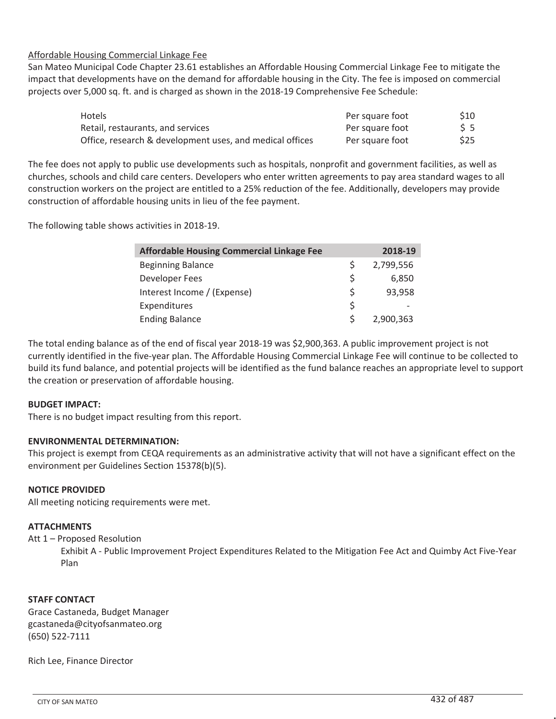#### Affordable Housing Commercial Linkage Fee

San Mateo Municipal Code Chapter 23.61 establishes an Affordable Housing Commercial Linkage Fee to mitigate the impact that developments have on the demand for affordable housing in the City. The fee is imposed on commercial projects over 5,000 sq. ft. and is charged as shown in the 2018-19 Comprehensive Fee Schedule:

| <b>Hotels</b>                                            | Per square foot | \$10 |
|----------------------------------------------------------|-----------------|------|
| Retail, restaurants, and services                        | Per square foot | 55   |
| Office, research & development uses, and medical offices | Per square foot | \$25 |

The fee does not apply to public use developments such as hospitals, nonprofit and government facilities, as well as churches, schools and child care centers. Developers who enter written agreements to pay area standard wages to all construction workers on the project are entitled to a 25% reduction of the fee. Additionally, developers may provide construction of affordable housing units in lieu of the fee payment.

The following table shows activities in 2018-19.

| <b>Affordable Housing Commercial Linkage Fee</b> |    | 2018-19   |
|--------------------------------------------------|----|-----------|
| <b>Beginning Balance</b>                         | S  | 2,799,556 |
| Developer Fees                                   | S  | 6,850     |
| Interest Income / (Expense)                      | \$ | 93,958    |
| Expenditures                                     | \$ |           |
| <b>Ending Balance</b>                            | Š. | 2,900,363 |

The total ending balance as of the end of fiscal year 2018-19 was \$2,900,363. A public improvement project is not currently identified in the five-year plan. The Affordable Housing Commercial Linkage Fee will continue to be collected to build its fund balance, and potential projects will be identified as the fund balance reaches an appropriate level to support the creation or preservation of affordable housing.

#### **BUDGET IMPACT:**

There is no budget impact resulting from this report.

#### **ENVIRONMENTAL DETERMINATION:**

This project is exempt from CEQA requirements as an administrative activity that will not have a significant effect on the environment per Guidelines Section 15378(b)(5).

#### **NOTICE PROVIDED**

All meeting noticing requirements were met.

#### **ATTACHMENTS**

Att 1 – Proposed Resolution

Exhibit A - Public Improvement Project Expenditures Related to the Mitigation Fee Act and Quimby Act Five-Year Plan

#### **STAFF CONTACT**

Grace Castaneda, Budget Manager gcastaneda@cityofsanmateo.org (650) 522-7111

Rich Lee, Finance Director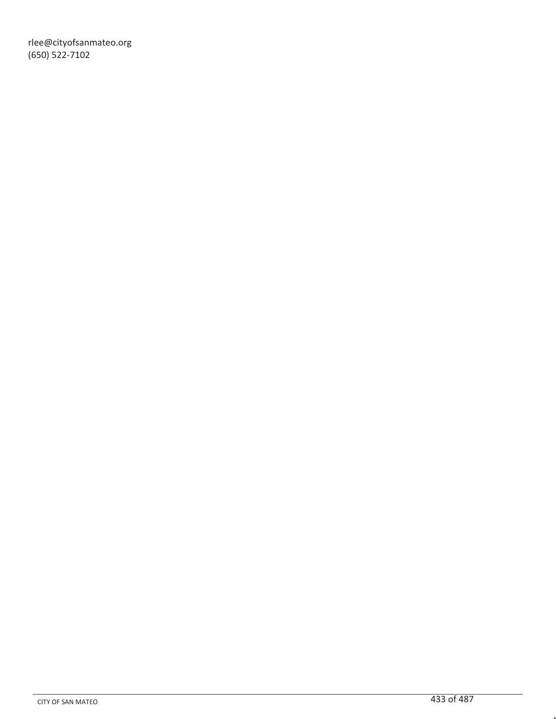rlee@cityofsanmateo.org (650) 522-7102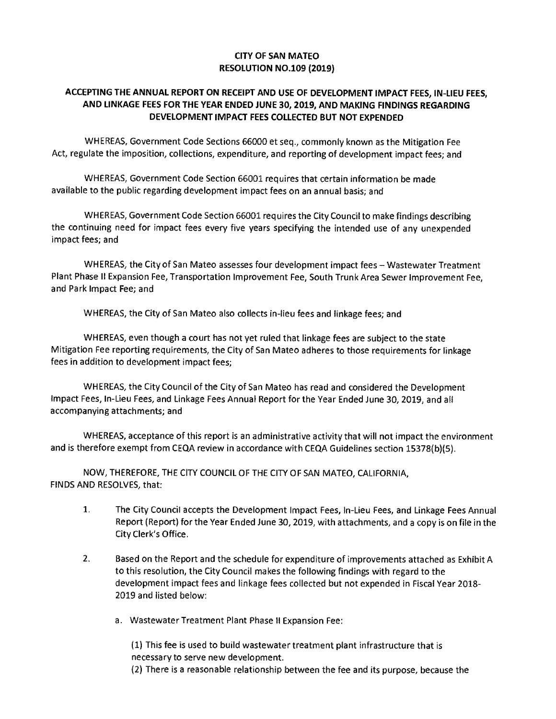#### **CITY OF SAN MATEO RESOLUTION NO.109 (2019)**

#### **ACCEPTING THE ANNUAL REPORT ON RECEIPT AND USE OF DEVELOPMENT IMPACT FEES, IN-LIEU FEES, AND LINKAGE FEES FOR THE YEAR ENDED JUNE 30, 2019, AND MAKING FINDINGS REGARDING DEVELOPMENT IMPACT FEES COLLECTED BUT NOT EXPENDED**

WHEREAS, Government Code Sections 66000 et seq., commonly known as the Mitigation Fee Act, regulate the imposition, collections, expenditure, and reporting of development impact fees; and

WHEREAS, Government Code Section 66001 requires that certain information be made available to the public regarding development impact fees on an annual basis; and

WHEREAS, Government Code Section 66001 requires the City Council to make findings describing the continuing need for impact fees every five years specifying the intended use of any unexpended impact fees; and

WHEREAS, the City of San Mateo assesses four development impact fees — Wastewater Treatment Plant Phase II Expansion Fee, Transportation Improvement Fee, South Trunk Area Sewer Improvement Fee, and Park Impact Fee; and

WHEREAS, the City of San Mateo also collects in-lieu fees and linkage fees; and

WHEREAS, even though a court has not yet ruled that linkage fees are subject to the state Mitigation Fee reporting requirements, the City of San Mateo adheres to those requirements for linkage fees in addition to development impact fees;

WHEREAS, the City Council of the City of San Mateo has read and considered the Development Impact Fees, In-Lieu Fees, and Linkage Fees Annual Report for the Year Ended June 30, 2019, and all accompanying attachments; and

WHEREAS, acceptance of this report is an administrative activity that will not impact the environment and is therefore exempt from CEQA review in accordance with CEQA Guidelines section 15378(b)(5).

NOW, THEREFORE, THE CITY COUNCIL OF THE CITY OF SAN MATEO, CALIFORNIA, FINDS AND RESOLVES, that:

- 1. The City Council accepts the Development Impact Fees, In-Lieu Fees, and Linkage Fees Annual Report (Report) for the Year Ended June 30, 2019, with attachments, and a copy is on file in the City Clerk's Office.
- 2. Based on the Report and the schedule for expenditure of improvements attached as Exhibit A to this resolution, the City Council makes the following findings with regard to the development impact fees and linkage fees collected but not expended in Fiscal Year 2018- 2019 and listed below:
	- a. Wastewater Treatment Plant Phase II Expansion Fee:

(1) This fee is used to build wastewater treatment plant infrastructure that is necessary to serve new development.

(2) There is a reasonable relationship between the fee and its purpose, because the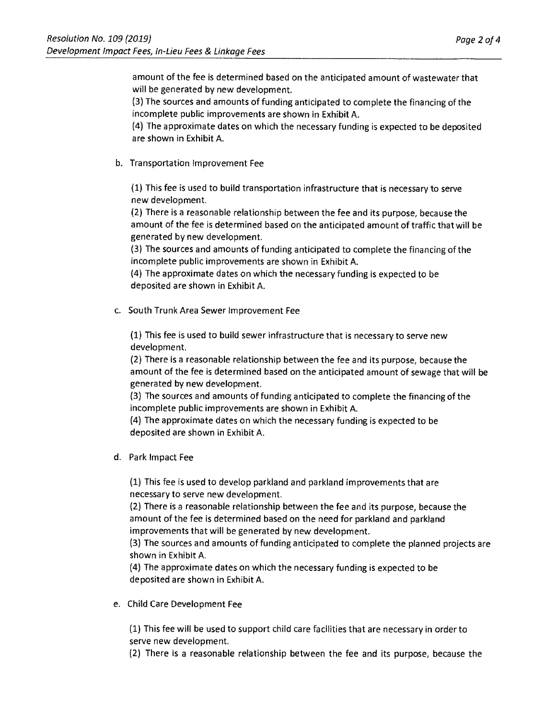amount of the fee is determined based on the anticipated amount of wastewater that will be generated by new development.

(3) The sources and amounts of funding anticipated to complete the financing of the incomplete public improvements are shown in Exhibit A.

(4) The approximate dates on which the necessary funding is expected to be deposited are shown in Exhibit A.

b. Transportation Improvement Fee

(1) This fee is used to build transportation infrastructure that is necessary to serve new development.

(2) There is a reasonable relationship between the fee and its purpose, because the amount of the fee is determined based on the anticipated amount of traffic that will be generated by new development.

(3) The sources and amounts of funding anticipated to complete the financing of the incomplete public improvements are shown in Exhibit A.

(4) The approximate dates on which the necessary funding is expected to be deposited are shown in Exhibit A.

c. South Trunk Area Sewer Improvement Fee

(1) This fee is used to build sewer infrastructure that is necessary to serve new development.

(2) There is a reasonable relationship between the fee and its purpose, because the amount of the fee is determined based on the anticipated amount of sewage that will be generated by new development.

(3) The sources and amounts of funding anticipated to complete the financing of the incomplete public improvements are shown in Exhibit A.

(4) The approximate dates on which the necessary funding is expected to be deposited are shown in Exhibit A.

d. Park Impact Fee

(1) This fee is used to develop parkland and parkland improvements that are necessary to serve new development.

(2) There is a reasonable relationship between the fee and its purpose, because the amount of the fee is determined based on the need for parkland and parkland improvements that will be generated by new development.

(3) The sources and amounts of funding anticipated to complete the planned projects are shown in Exhibit A.

(4) The approximate dates on which the necessary funding is expected to be deposited are shown in Exhibit A.

e. Child Care Development Fee

(1) This fee will be used to support child care facilities that are necessary in order to serve new development.

(2) There is a reasonable relationship between the fee and its purpose, because the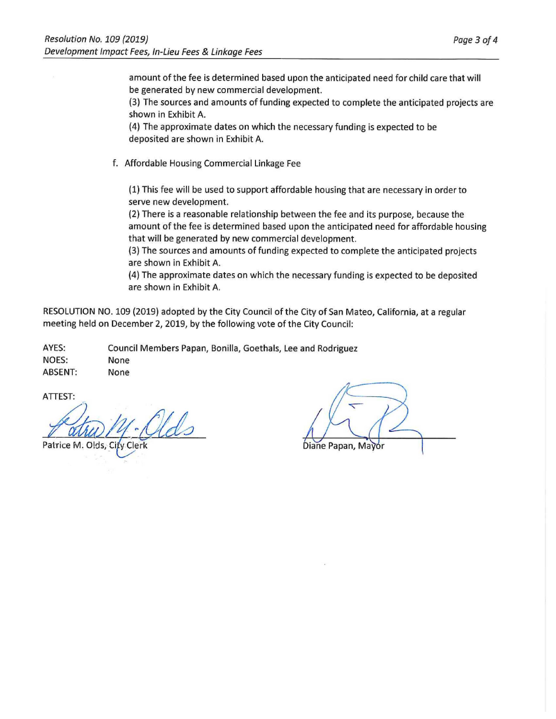amount of the fee is determined based upon the anticipated need for child care that will be generated by new commercial development.

(3) The sources and amounts of funding expected to complete the anticipated projects are shown in Exhibit A.

(4) The approximate dates on which the necessary funding is expected to be deposited are shown in Exhibit A.

f. Affordable Housing Commercial Linkage Fee

(1) This fee will be used to support affordable housing that are necessary in order to serve new development.

(2) There is a reasonable relationship between the fee and its purpose, because the amount of the fee is determined based upon the anticipated need for affordable housing that will be generated by new commercial development.

(3) The sources and amounts of funding expected to complete the anticipated projects are shown in Exhibit A.

(4) The approximate dates on which the necessary funding is expected to be deposited are shown in Exhibit A.

RESOLUTION NO. 109 (2019) adopted by the City Council of the City of San Mateo, California, at a regular meeting held on December 2, 2019, by the following vote of the City Council:

AYES: Council Members Papan, Bonilla, Goethals, Lee and Rodriguez NOES: None ABSENT: None

ATTEST:

Patrice M. Olds, City Clerk

Diane Papan, Mayor